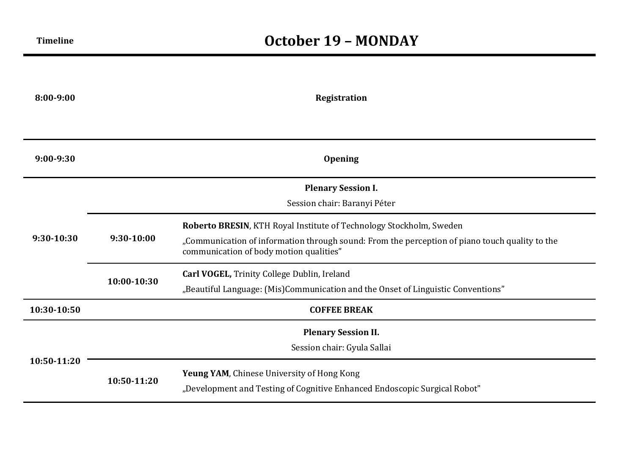| 8:00-9:00     | <b>Registration</b>                                       |                                                                                                                                                                                                                  |  |
|---------------|-----------------------------------------------------------|------------------------------------------------------------------------------------------------------------------------------------------------------------------------------------------------------------------|--|
|               |                                                           |                                                                                                                                                                                                                  |  |
| $9:00 - 9:30$ |                                                           | <b>Opening</b>                                                                                                                                                                                                   |  |
|               | <b>Plenary Session I.</b><br>Session chair: Baranyi Péter |                                                                                                                                                                                                                  |  |
| $9:30-10:30$  | 9:30-10:00                                                | Roberto BRESIN, KTH Royal Institute of Technology Stockholm, Sweden<br>"Communication of information through sound: From the perception of piano touch quality to the<br>communication of body motion qualities" |  |
|               | 10:00-10:30                                               | Carl VOGEL, Trinity College Dublin, Ireland<br>"Beautiful Language: (Mis)Communication and the Onset of Linguistic Conventions"                                                                                  |  |
| 10:30-10:50   |                                                           | <b>COFFEE BREAK</b>                                                                                                                                                                                              |  |
| 10:50-11:20   | <b>Plenary Session II.</b><br>Session chair: Gyula Sallai |                                                                                                                                                                                                                  |  |
|               | 10:50-11:20                                               | Yeung YAM, Chinese University of Hong Kong<br>"Development and Testing of Cognitive Enhanced Endoscopic Surgical Robot"                                                                                          |  |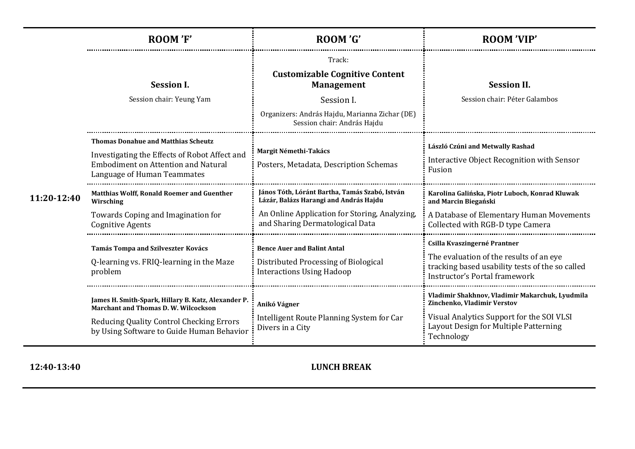|             | <b>ROOM 'F'</b>                                                                                                                                                                             | ROOM 'G'                                                                                                                                                                     | <b>ROOM 'VIP'</b>                                                                                                                                                                  |
|-------------|---------------------------------------------------------------------------------------------------------------------------------------------------------------------------------------------|------------------------------------------------------------------------------------------------------------------------------------------------------------------------------|------------------------------------------------------------------------------------------------------------------------------------------------------------------------------------|
| 11:20-12:40 | <b>Session I.</b><br>Session chair: Yeung Yam                                                                                                                                               | Track:<br><b>Customizable Cognitive Content</b><br><b>Management</b><br>Session I.<br>Organizers: András Hajdu, Marianna Zichar (DE)<br>Session chair: András Hajdu          | <b>Session II.</b><br>Session chair: Péter Galambos                                                                                                                                |
|             | <b>Thomas Donahue and Matthias Scheutz</b><br>Investigating the Effects of Robot Affect and<br><b>Embodiment on Attention and Natural</b><br>Language of Human Teammates                    | Margit Némethi-Takács<br>Posters, Metadata, Description Schemas                                                                                                              | László Czúni and Metwally Rashad<br>Interactive Object Recognition with Sensor<br>Fusion                                                                                           |
|             | <b>Matthias Wolff, Ronald Roemer and Guenther</b><br>Wirsching<br>Towards Coping and Imagination for<br><b>Cognitive Agents</b>                                                             | János Tóth, Lóránt Bartha, Tamás Szabó, István<br>Lázár, Balázs Harangi and András Hajdu<br>An Online Application for Storing, Analyzing,<br>and Sharing Dermatological Data | Karolina Galińska, Piotr Luboch, Konrad Kluwak<br>and Marcin Biegański<br>A Database of Elementary Human Movements<br>Collected with RGB-D type Camera                             |
|             | Tamás Tompa and Szilveszter Kovács<br>Q-learning vs. FRIQ-learning in the Maze<br>problem                                                                                                   | <b>Bence Auer and Balint Antal</b><br>Distributed Processing of Biological<br><b>Interactions Using Hadoop</b>                                                               | Csilla Kvaszingerné Prantner<br>The evaluation of the results of an eye<br>tracking based usability tests of the so called<br>Instructor's Portal framework                        |
|             | James H. Smith-Spark, Hillary B. Katz, Alexander P.<br><b>Marchant and Thomas D. W. Wilcockson</b><br>Reducing Quality Control Checking Errors<br>by Using Software to Guide Human Behavior | Anikó Vágner<br>Intelligent Route Planning System for Car<br>Divers in a City                                                                                                | Vladimir Shakhnov, Vladimir Makarchuk, Lyudmila<br>Zinchenko, Vladimir Verstov<br>Visual Analytics Support for the SOI VLSI<br>Layout Design for Multiple Patterning<br>Technology |

**12:40-13:40 LUNCH BREAK**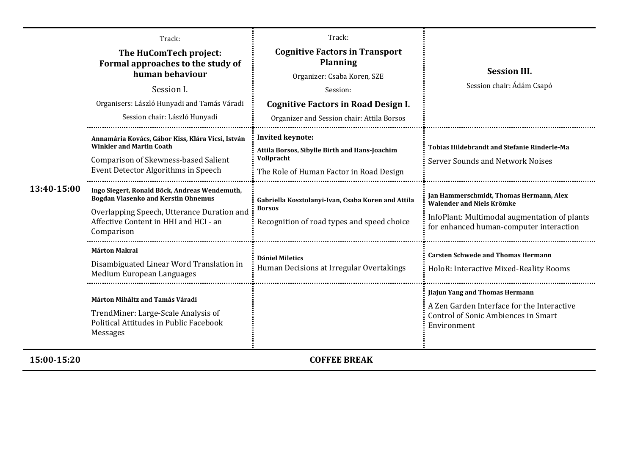| 13:40-15:00 | Track:<br>The HuComTech project:<br>Formal approaches to the study of<br>human behaviour<br>Session I.<br>Organisers: László Hunyadi and Tamás Váradi<br>Session chair: László Hunyadi           | Track:<br><b>Cognitive Factors in Transport</b><br><b>Planning</b><br>Organizer: Csaba Koren, SZE<br>Session:<br><b>Cognitive Factors in Road Design I.</b><br>Organizer and Session chair: Attila Borsos | <b>Session III.</b><br>Session chair: Ádám Csapó                                                                                                                       |
|-------------|--------------------------------------------------------------------------------------------------------------------------------------------------------------------------------------------------|-----------------------------------------------------------------------------------------------------------------------------------------------------------------------------------------------------------|------------------------------------------------------------------------------------------------------------------------------------------------------------------------|
|             | Annamária Kovács, Gábor Kiss, Klára Vicsi, István<br><b>Winkler and Martin Coath</b><br>Comparison of Skewness-based Salient<br>Event Detector Algorithms in Speech                              | <b>Invited keynote:</b><br>Attila Borsos, Sibylle Birth and Hans-Joachim<br>Vollpracht<br>The Role of Human Factor in Road Design                                                                         | <b>Tobias Hildebrandt and Stefanie Rinderle-Ma</b><br><b>Server Sounds and Network Noises</b>                                                                          |
|             | Ingo Siegert, Ronald Böck, Andreas Wendemuth,<br><b>Bogdan Vlasenko and Kerstin Ohnemus</b><br>Overlapping Speech, Utterance Duration and<br>Affective Content in HHI and HCI - an<br>Comparison | Gabriella Kosztolanyi-Ivan, Csaba Koren and Attila<br><b>Borsos</b><br>Recognition of road types and speed choice                                                                                         | Jan Hammerschmidt, Thomas Hermann, Alex<br><b>Walender and Niels Krömke</b><br>InfoPlant: Multimodal augmentation of plants<br>for enhanced human-computer interaction |
|             | <b>Márton Makrai</b><br>Disambiguated Linear Word Translation in<br>Medium European Languages                                                                                                    | <b>Dániel Miletics</b><br>Human Decisions at Irregular Overtakings                                                                                                                                        | <b>Carsten Schwede and Thomas Hermann</b><br>HoloR: Interactive Mixed-Reality Rooms                                                                                    |
|             | Márton Miháltz and Tamás Váradi<br>TrendMiner: Large-Scale Analysis of<br>Political Attitudes in Public Facebook<br><b>Messages</b>                                                              |                                                                                                                                                                                                           | Jiajun Yang and Thomas Hermann<br>A Zen Garden Interface for the Interactive<br><b>Control of Sonic Ambiences in Smart</b><br>Environment                              |
| 15:00-15:20 |                                                                                                                                                                                                  | <b>COFFEE BREAK</b>                                                                                                                                                                                       |                                                                                                                                                                        |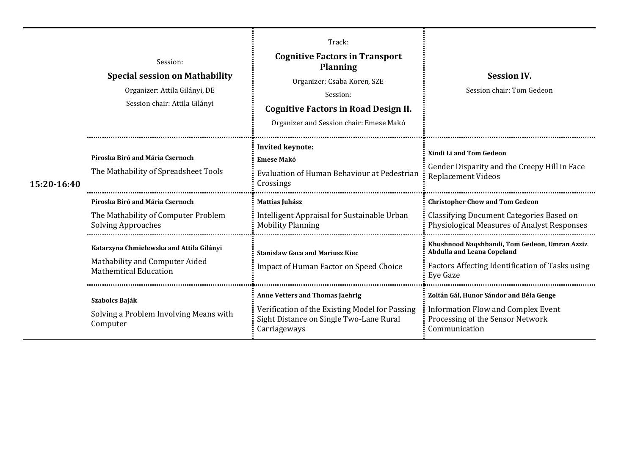| 15:20-16:40 | Session:<br><b>Special session on Mathability</b><br>Organizer: Attila Gilányi, DE<br>Session chair: Attila Gilányi | Track:<br><b>Cognitive Factors in Transport</b><br><b>Planning</b><br>Organizer: Csaba Koren, SZE<br>Session:<br><b>Cognitive Factors in Road Design II.</b><br>Organizer and Session chair: Emese Makó | <b>Session IV.</b><br>Session chair: Tom Gedeon                                                                                                   |
|-------------|---------------------------------------------------------------------------------------------------------------------|---------------------------------------------------------------------------------------------------------------------------------------------------------------------------------------------------------|---------------------------------------------------------------------------------------------------------------------------------------------------|
|             | Piroska Biró and Mária Csernoch<br>The Mathability of Spreadsheet Tools                                             | <b>Invited keynote:</b><br><b>Emese Makó</b><br>Evaluation of Human Behaviour at Pedestrian<br>Crossings                                                                                                | <b>Xindi Li and Tom Gedeon</b><br>Gender Disparity and the Creepy Hill in Face<br><b>Replacement Videos</b>                                       |
|             | Piroska Biró and Mária Csernoch<br>The Mathability of Computer Problem<br><b>Solving Approaches</b>                 | Mattias Juhász<br>Intelligent Appraisal for Sustainable Urban<br><b>Mobility Planning</b>                                                                                                               | <b>Christopher Chow and Tom Gedeon</b><br>Classifying Document Categories Based on<br><b>Physiological Measures of Analyst Responses</b>          |
|             | Katarzyna Chmielewska and Attila Gilányi<br>Mathability and Computer Aided<br><b>Mathemtical Education</b>          | <b>Stanislaw Gaca and Mariusz Kiec</b><br><b>Impact of Human Factor on Speed Choice</b>                                                                                                                 | Khushnood Naqshbandi, Tom Gedeon, Umran Azziz<br><b>Abdulla and Leana Copeland</b><br>Factors Affecting Identification of Tasks using<br>Eye Gaze |
|             | Szabolcs Baják<br>Solving a Problem Involving Means with<br>Computer                                                | <b>Anne Vetters and Thomas Jaehrig</b><br>Verification of the Existing Model for Passing<br>Sight Distance on Single Two-Lane Rural<br>Carriageways                                                     | Zoltán Gál, Hunor Sándor and Béla Genge<br><b>Information Flow and Complex Event</b><br>Processing of the Sensor Network<br>Communication         |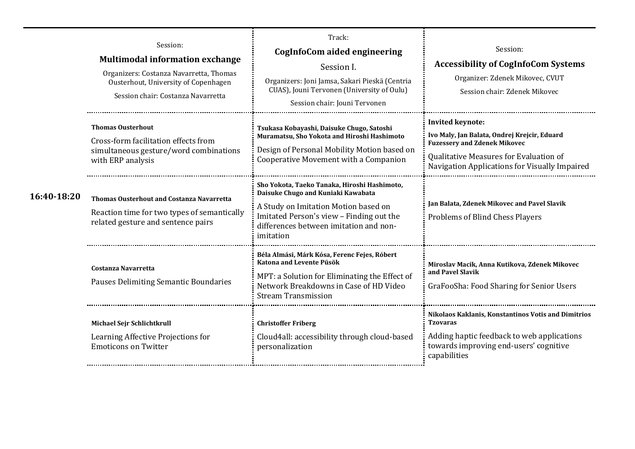|             | Session:<br><b>Multimodal information exchange</b><br>Organizers: Costanza Navarretta, Thomas<br>Ousterhout, University of Copenhagen<br>Session chair: Costanza Navarretta | Track:<br>CogInfoCom aided engineering<br>Session I.<br>Organizers: Joni Jamsa, Sakari Pieskä (Centria<br>CUAS), Jouni Tervonen (University of Oulu)<br>Session chair: Jouni Tervonen                                         | Session:<br><b>Accessibility of CogInfoCom Systems</b><br>Organizer: Zdenek Mikovec, CVUT<br>Session chair: Zdenek Mikovec                                                                                |
|-------------|-----------------------------------------------------------------------------------------------------------------------------------------------------------------------------|-------------------------------------------------------------------------------------------------------------------------------------------------------------------------------------------------------------------------------|-----------------------------------------------------------------------------------------------------------------------------------------------------------------------------------------------------------|
|             | <b>Thomas Ousterhout</b><br>Cross-form facilitation effects from<br>simultaneous gesture/word combinations<br>with ERP analysis                                             | Tsukasa Kobayashi, Daisuke Chugo, Satoshi<br>Muramatsu, Sho Yokota and Hiroshi Hashimoto<br>Design of Personal Mobility Motion based on<br>Cooperative Movement with a Companion                                              | <b>Invited keynote:</b><br>Ivo Maly, Jan Balata, Ondrej Krejcir, Eduard<br><b>Fuzessery and Zdenek Mikovec</b><br>Qualitative Measures for Evaluation of<br>Navigation Applications for Visually Impaired |
| 16:40-18:20 | Thomas Ousterhout and Costanza Navarretta<br>Reaction time for two types of semantically<br>related gesture and sentence pairs                                              | Sho Yokota, Taeko Tanaka, Hiroshi Hashimoto,<br>Daisuke Chugo and Kuniaki Kawabata<br>A Study on Imitation Motion based on<br>Imitated Person's view - Finding out the<br>differences between imitation and non-<br>imitation | Jan Balata, Zdenek Mikovec and Pavel Slavik<br><b>Problems of Blind Chess Players</b>                                                                                                                     |
|             | <b>Costanza Navarretta</b><br>Pauses Delimiting Semantic Boundaries                                                                                                         | Béla Almási, Márk Kósa, Ferenc Fejes, Róbert<br>Katona and Levente Püsök<br>MPT: a Solution for Eliminating the Effect of<br>Network Breakdowns in Case of HD Video<br><b>Stream Transmission</b>                             | Miroslav Macik, Anna Kutikova, Zdenek Mikovec<br>and Pavel Slavik<br>GraFooSha: Food Sharing for Senior Users                                                                                             |
|             | Michael Sejr Schlichtkrull<br>Learning Affective Projections for<br><b>Emoticons on Twitter</b>                                                                             | <b>Christoffer Friberg</b><br>Cloud4all: accessibility through cloud-based<br>personalization                                                                                                                                 | Nikolaos Kaklanis, Konstantinos Votis and Dimitrios<br><b>Tzovaras</b><br>Adding haptic feedback to web applications<br>towards improving end-users' cognitive<br>capabilities                            |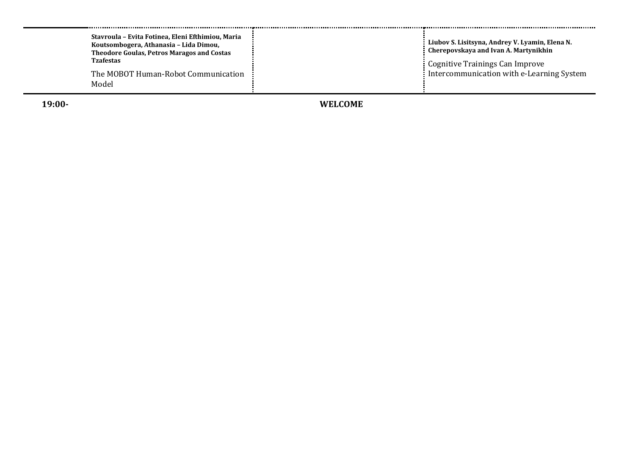| Stavroula - Evita Fotinea, Eleni Efthimiou, Maria<br>Koutsombogera, Athanasia - Lida Dimou,<br><b>Theodore Goulas, Petros Maragos and Costas</b><br><b>Tzafestas</b><br>The MOBOT Human-Robot Communication<br>Model | Liubov S. Lisitsyna, Andrey V. Lyamin, Elena N.<br>Cherepovskaya and Ivan A. Martynikhin<br>: Cognitive Trainings Can Improve<br>Intercommunication with e-Learning System |
|----------------------------------------------------------------------------------------------------------------------------------------------------------------------------------------------------------------------|----------------------------------------------------------------------------------------------------------------------------------------------------------------------------|
|----------------------------------------------------------------------------------------------------------------------------------------------------------------------------------------------------------------------|----------------------------------------------------------------------------------------------------------------------------------------------------------------------------|

**19:00**

**- WELCOME**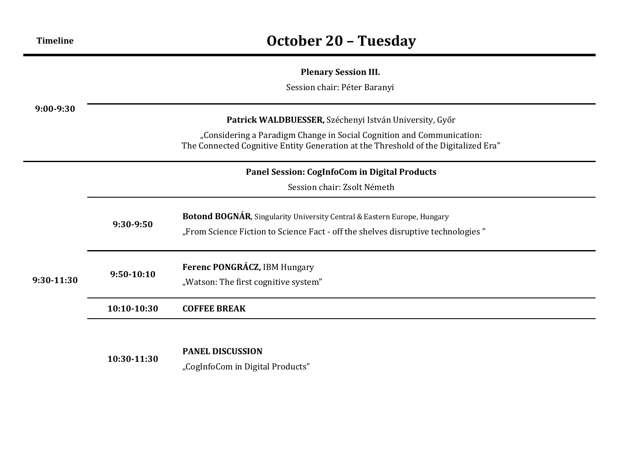## **Plenary Session III.**

Session chair: Péter Baranyi

| $9:00-9:30$  | Patrick WALDBUESSER, Széchenyi István University, Győr<br>"Considering a Paradigm Change in Social Cognition and Communication:<br>The Connected Cognitive Entity Generation at the Threshold of the Digitalized Era" |                                                                                                                                                             |  |  |
|--------------|-----------------------------------------------------------------------------------------------------------------------------------------------------------------------------------------------------------------------|-------------------------------------------------------------------------------------------------------------------------------------------------------------|--|--|
|              | Panel Session: CogInfoCom in Digital Products                                                                                                                                                                         |                                                                                                                                                             |  |  |
|              |                                                                                                                                                                                                                       | Session chair: Zsolt Németh                                                                                                                                 |  |  |
|              | 9:30-9:50                                                                                                                                                                                                             | Botond BOGNÁR, Singularity University Central & Eastern Europe, Hungary<br>"From Science Fiction to Science Fact - off the shelves disruptive technologies" |  |  |
| $9:30-11:30$ | $9:50-10:10$                                                                                                                                                                                                          | Ferenc PONGRÁCZ, IBM Hungary<br>"Watson: The first cognitive system"                                                                                        |  |  |
|              | 10:10-10:30                                                                                                                                                                                                           | <b>COFFEE BREAK</b>                                                                                                                                         |  |  |
|              |                                                                                                                                                                                                                       |                                                                                                                                                             |  |  |

### **PANEL DISCUSSION**

**10:30-11:30**

"CogInfoCom in Digital Products"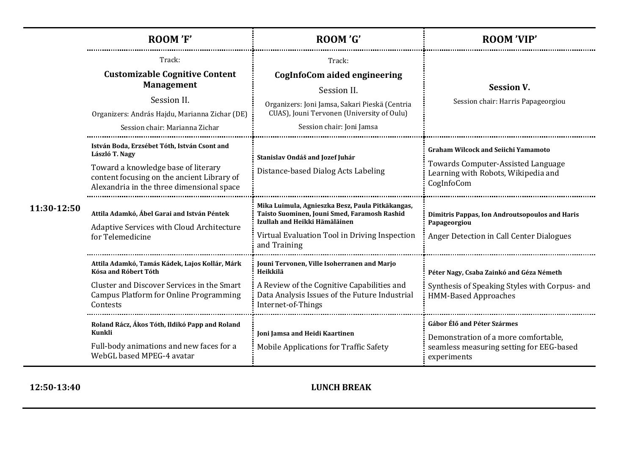|             | <b>ROOM'F'</b>                                                                                                                                                                                   | ROOM 'G'                                                                                                                                                                                           | <b>ROOM 'VIP'</b>                                                                                                                     |
|-------------|--------------------------------------------------------------------------------------------------------------------------------------------------------------------------------------------------|----------------------------------------------------------------------------------------------------------------------------------------------------------------------------------------------------|---------------------------------------------------------------------------------------------------------------------------------------|
| 11:30-12:50 | Track:<br><b>Customizable Cognitive Content</b><br><b>Management</b><br>Session II.<br>Organizers: András Hajdu, Marianna Zichar (DE)<br>Session chair: Marianna Zichar                          | Track:<br><b>CogInfoCom aided engineering</b><br>Session II.<br>Organizers: Joni Jamsa, Sakari Pieskä (Centria<br>CUAS), Jouni Tervonen (University of Oulu)<br>Session chair: Joni Jamsa          | <b>Session V.</b><br>Session chair: Harris Papageorgiou                                                                               |
|             | István Boda, Erzsébet Tóth, István Csont and<br>László T. Nagy<br>Toward a knowledge base of literary<br>content focusing on the ancient Library of<br>Alexandria in the three dimensional space | Stanislav Ondáš and Jozef Juhár<br>Distance-based Dialog Acts Labeling                                                                                                                             | <b>Graham Wilcock and Seiichi Yamamoto</b><br>Towards Computer-Assisted Language<br>Learning with Robots, Wikipedia and<br>CogInfoCom |
|             | Attila Adamkó, Ábel Garai and István Péntek<br>Adaptive Services with Cloud Architecture<br>for Telemedicine                                                                                     | Mika Luimula, Agnieszka Besz, Paula Pitkäkangas,<br>Taisto Suominen, Jouni Smed, Faramosh Rashid<br>Izullah and Heikki Hämäläinen<br>Virtual Evaluation Tool in Driving Inspection<br>and Training | Dimitris Pappas, Ion Androutsopoulos and Haris<br>Papageorgiou<br>Anger Detection in Call Center Dialogues                            |
|             | Attila Adamkó, Tamás Kádek, Lajos Kollár, Márk<br>Kósa and Róbert Tóth<br>Cluster and Discover Services in the Smart<br>Campus Platform for Online Programming<br>Contests                       | Jouni Tervonen, Ville Isoherranen and Marjo<br>Heikkilä<br>A Review of the Cognitive Capabilities and<br>Data Analysis Issues of the Future Industrial<br>Internet-of-Things                       | Péter Nagy, Csaba Zainkó and Géza Németh<br>Synthesis of Speaking Styles with Corpus- and<br><b>HMM-Based Approaches</b>              |
|             | Roland Rácz, Ákos Tóth, Ildikó Papp and Roland<br>Kunkli<br>Full-body animations and new faces for a<br>WebGL based MPEG-4 avatar                                                                | Joni Jamsa and Heidi Kaartinen<br><b>Mobile Applications for Traffic Safety</b>                                                                                                                    | Gábor Élő and Péter Szármes<br>Demonstration of a more comfortable,<br>seamless measuring setting for EEG-based<br>experiments        |

## **12:50-13:40 LUNCH BREAK**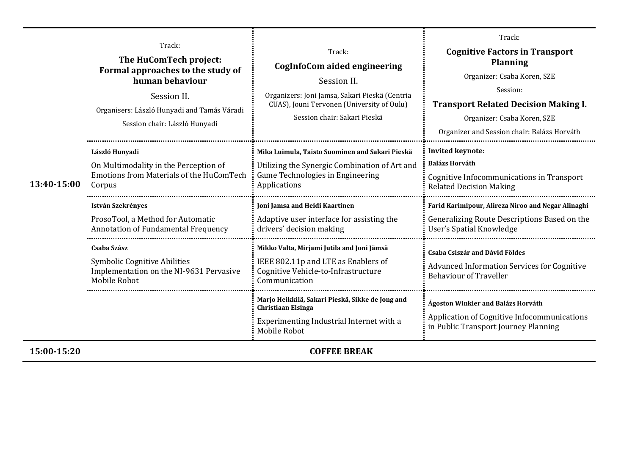| 13:40-15:00 | Track:<br>The HuComTech project:<br>Formal approaches to the study of<br>human behaviour<br>Session II.<br>Organisers: László Hunyadi and Tamás Váradi<br>Session chair: László Hunyadi | Track:<br>CogInfoCom aided engineering<br>Session II.<br>Organizers: Joni Jamsa, Sakari Pieskä (Centria<br>CUAS), Jouni Tervonen (University of Oulu)<br>Session chair: Sakari Pieskä                                               | Track:<br><b>Cognitive Factors in Transport</b><br><b>Planning</b><br>Organizer: Csaba Koren, SZE<br>Session:<br><b>Transport Related Decision Making I.</b><br>Organizer: Csaba Koren, SZE<br>Organizer and Session chair: Balázs Horváth |
|-------------|-----------------------------------------------------------------------------------------------------------------------------------------------------------------------------------------|-------------------------------------------------------------------------------------------------------------------------------------------------------------------------------------------------------------------------------------|--------------------------------------------------------------------------------------------------------------------------------------------------------------------------------------------------------------------------------------------|
|             | László Hunyadi<br>On Multimodality in the Perception of<br>Emotions from Materials of the HuComTech<br>Corpus<br><b>István Szekrényes</b><br>ProsoTool, a Method for Automatic          | Mika Luimula, Taisto Suominen and Sakari Pieskä<br>Utilizing the Synergic Combination of Art and<br>Game Technologies in Engineering<br>Applications<br>Joni Jamsa and Heidi Kaartinen<br>Adaptive user interface for assisting the | <b>Invited keynote:</b><br><b>Balázs Horváth</b><br>Cognitive Infocommunications in Transport<br><b>Related Decision Making</b><br>Farid Karimipour, Alireza Niroo and Negar Alinaghi<br>Generalizing Route Descriptions Based on the      |
|             | Annotation of Fundamental Frequency<br>Csaba Szász<br>Symbolic Cognitive Abilities<br>Implementation on the NI-9631 Pervasive<br>Mobile Robot                                           | drivers' decision making<br>Mikko Valta, Mirjami Jutila and Joni Jämsä<br>IEEE 802.11p and LTE as Enablers of<br>Cognitive Vehicle-to-Infrastructure<br>Communication                                                               | User's Spatial Knowledge<br><b>Csaba Csiszár and Dávid Földes</b><br><b>Advanced Information Services for Cognitive</b><br><b>Behaviour of Traveller</b>                                                                                   |
|             |                                                                                                                                                                                         | Marjo Heikkilä, Sakari Pieskä, Sikke de Jong and<br><b>Christiaan Elsinga</b><br>Experimenting Industrial Internet with a<br>Mobile Robot                                                                                           | Ágoston Winkler and Balázs Horváth<br>Application of Cognitive Infocommunications<br>in Public Transport Journey Planning                                                                                                                  |
| 15:00-15:20 |                                                                                                                                                                                         | <b>COFFEE BREAK</b>                                                                                                                                                                                                                 |                                                                                                                                                                                                                                            |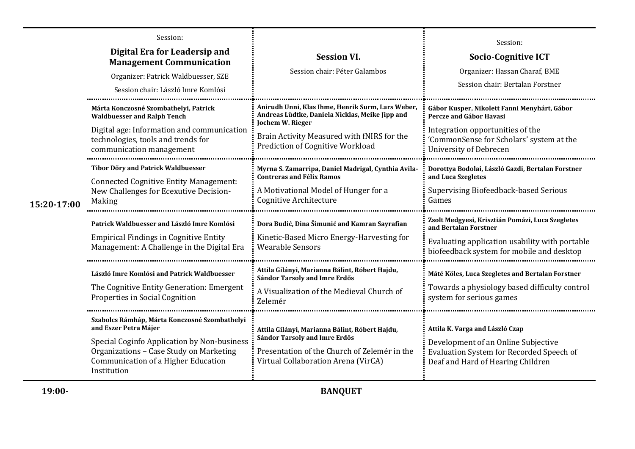| 15:20-17:00 | Session:<br>Digital Era for Leadersip and<br><b>Management Communication</b><br>Organizer: Patrick Waldbuesser, SZE<br>Session chair: László Imre Komlósi                                                              | <b>Session VI.</b><br>Session chair: Péter Galambos                                                                                                                                                        | Session:<br><b>Socio-Cognitive ICT</b><br>Organizer: Hassan Charaf, BME<br>Session chair: Bertalan Forstner                                                                       |
|-------------|------------------------------------------------------------------------------------------------------------------------------------------------------------------------------------------------------------------------|------------------------------------------------------------------------------------------------------------------------------------------------------------------------------------------------------------|-----------------------------------------------------------------------------------------------------------------------------------------------------------------------------------|
|             | Márta Konczosné Szombathelyi, Patrick<br><b>Waldbuesser and Ralph Tench</b><br>Digital age: Information and communication<br>technologies, tools and trends for<br>communication management                            | Anirudh Unni, Klas Ihme, Henrik Surm, Lars Weber,<br>Andreas Lüdtke, Daniela Nicklas, Meike Jipp and<br>Jochem W. Rieger<br>Brain Activity Measured with fNIRS for the<br>Prediction of Cognitive Workload | Gábor Kusper, Nikolett Fanni Menyhárt, Gábor<br>Percze and Gábor Havasi<br>Integration opportunities of the<br>'CommonSense for Scholars' system at the<br>University of Debrecen |
|             | <b>Tibor Dőry and Patrick Waldbuesser</b><br><b>Connected Cognitive Entity Management:</b><br>New Challenges for Ecexutive Decision-<br>Making                                                                         | Myrna S. Zamarripa, Daniel Madrigal, Cynthia Avila-<br><b>Contreras and Félix Ramos</b><br>A Motivational Model of Hunger for a<br>Cognitive Architecture                                                  | Dorottya Bodolai, László Gazdi, Bertalan Forstner<br>and Luca Szegletes<br>Supervising Biofeedback-based Serious<br>Games                                                         |
|             | Patrick Waldbuesser and László Imre Komlósi<br><b>Empirical Findings in Cognitive Entity</b><br>Management: A Challenge in the Digital Era                                                                             | Dora Budić, Dina Šimunić and Kamran Sayrafian<br>Kinetic-Based Micro Energy-Harvesting for<br><b>Wearable Sensors</b>                                                                                      | Zsolt Medgyesi, Krisztián Pomázi, Luca Szegletes<br>and Bertalan Forstner<br>Evaluating application usability with portable<br>biofeedback system for mobile and desktop          |
|             | László Imre Komlósi and Patrick Waldbuesser<br>The Cognitive Entity Generation: Emergent<br>Properties in Social Cognition                                                                                             | Attila Gilányi, Marianna Bálint, Róbert Hajdu,<br>Sándor Tarsoly and Imre Erdős<br>A Visualization of the Medieval Church of<br>Zelemér                                                                    | Máté Köles, Luca Szegletes and Bertalan Forstner<br>Towards a physiology based difficulty control<br>system for serious games                                                     |
|             | Szabolcs Rámháp, Márta Konczosné Szombathelyi<br>and Eszer Petra Májer<br>Special Coginfo Application by Non-business<br>Organizations - Case Study on Marketing<br>Communication of a Higher Education<br>Institution | Attila Gilányi, Marianna Bálint, Róbert Hajdu,<br>Sándor Tarsoly and Imre Erdős<br>Presentation of the Church of Zelemér in the<br>Virtual Collaboration Arena (VirCA)                                     | Attila K. Varga and László Czap<br>Development of an Online Subjective<br>Evaluation System for Recorded Speech of<br>Deaf and Hard of Hearing Children                           |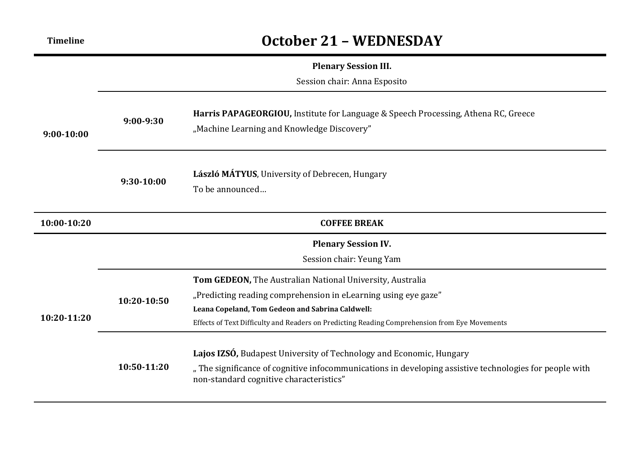# **Timeline October 21 – WEDNESDAY**

#### **Plenary Session III.**

Session chair: Anna Esposito

| $9:00-10:00$ | $9:00-9:30$                                            | Harris PAPAGEORGIOU, Institute for Language & Speech Processing, Athena RC, Greece<br>"Machine Learning and Knowledge Discovery"                                                                                                                                                 |  |  |
|--------------|--------------------------------------------------------|----------------------------------------------------------------------------------------------------------------------------------------------------------------------------------------------------------------------------------------------------------------------------------|--|--|
|              | $9:30-10:00$                                           | László MÁTYUS, University of Debrecen, Hungary<br>To be announced                                                                                                                                                                                                                |  |  |
| 10:00-10:20  |                                                        | <b>COFFEE BREAK</b>                                                                                                                                                                                                                                                              |  |  |
|              | <b>Plenary Session IV.</b><br>Session chair: Yeung Yam |                                                                                                                                                                                                                                                                                  |  |  |
| 10:20-11:20  | 10:20-10:50                                            | Tom GEDEON, The Australian National University, Australia<br>"Predicting reading comprehension in eLearning using eye gaze"<br>Leana Copeland, Tom Gedeon and Sabrina Caldwell:<br>Effects of Text Difficulty and Readers on Predicting Reading Comprehension from Eye Movements |  |  |
|              | 10:50-11:20                                            | Lajos IZSÓ, Budapest University of Technology and Economic, Hungary<br>"The significance of cognitive infocommunications in developing assistive technologies for people with<br>non-standard cognitive characteristics"                                                         |  |  |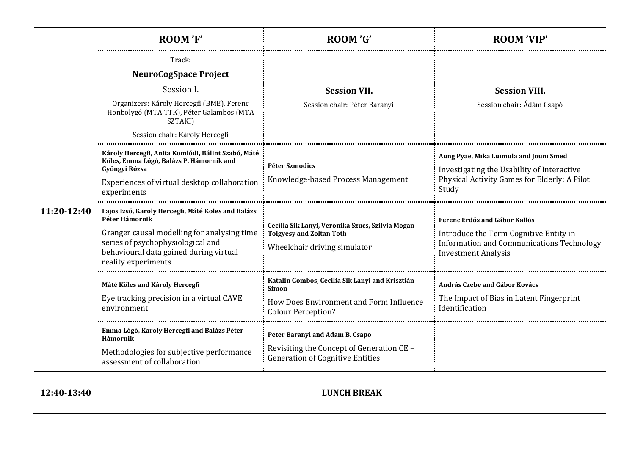|             | ROOM'F'                                                                                                             | ROOM 'G'                                                                                                            | <b>ROOM 'VIP'</b>                                                                                                        |
|-------------|---------------------------------------------------------------------------------------------------------------------|---------------------------------------------------------------------------------------------------------------------|--------------------------------------------------------------------------------------------------------------------------|
|             | Track:<br><b>NeuroCogSpace Project</b>                                                                              |                                                                                                                     | <b>Session VIII.</b><br>Session chair: Ádám Csapó                                                                        |
|             | Session I.<br>Organizers: Károly Hercegfi (BME), Ferenc                                                             | <b>Session VII.</b><br>Session chair: Péter Baranyi                                                                 |                                                                                                                          |
|             | Honbolygó (MTA TTK), Péter Galambos (MTA<br>SZTAKI)<br>Session chair: Károly Hercegfi                               |                                                                                                                     |                                                                                                                          |
|             | Károly Hercegfi, Anita Komlódi, Bálint Szabó, Máté<br>Köles, Emma Lógó, Balázs P. Hámornik and<br>Gyöngyi Rózsa     | <b>Péter Szmodics</b>                                                                                               | Aung Pyae, Mika Luimula and Jouni Smed<br>Investigating the Usability of Interactive                                     |
|             | Experiences of virtual desktop collaboration<br>experiments                                                         | Knowledge-based Process Management                                                                                  | Physical Activity Games for Elderly: A Pilot<br>Study                                                                    |
| 11:20-12:40 | Lajos Izsó, Karoly Hercegfi, Máté Köles and Balázs<br>Péter Hámornik<br>Granger causal modelling for analysing time | Cecília Sik Lanyi, Veronika Szucs, Szilvia Mogan<br><b>Tolgyesy and Zoltan Toth</b><br>Wheelchair driving simulator | Ferenc Erdős and Gábor Kallós                                                                                            |
|             | series of psychophysiological and<br>behavioural data gained during virtual<br>reality experiments                  |                                                                                                                     | Introduce the Term Cognitive Entity in<br><b>Information and Communications Technology</b><br><b>Investment Analysis</b> |
|             | Máté Köles and Károly Hercegfi                                                                                      | Katalin Gombos, Cecilia Sik Lanyi and Krisztián<br>Simon                                                            | András Czebe and Gábor Kovács                                                                                            |
|             | Eye tracking precision in a virtual CAVE<br>environment                                                             | How Does Environment and Form Influence<br><b>Colour Perception?</b>                                                | The Impact of Bias in Latent Fingerprint<br>Identification                                                               |
|             | Emma Lógó, Karoly Hercegfi and Balázs Péter<br>Hámornik                                                             | Peter Baranyi and Adam B. Csapo                                                                                     |                                                                                                                          |
|             | Methodologies for subjective performance<br>assessment of collaboration                                             | Revisiting the Concept of Generation CE -<br><b>Generation of Cognitive Entities</b>                                |                                                                                                                          |

## **12:40-13:40 LUNCH BREAK**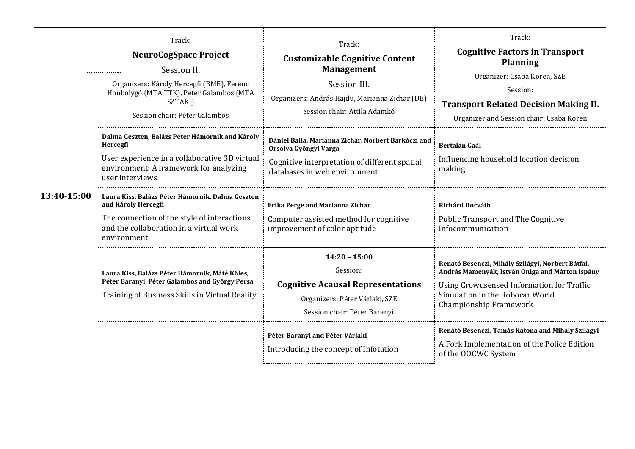|             | Track:<br>NeuroCogSpace Project<br>Session II.<br><br>Organizers: Károly Hercegfi (BME), Ferenc<br>Honbolygó (MTA TTK), Péter Galambos (MTA<br>SZTAKI)<br>Session chair: Péter Galambos                                                                                                                                                                       | Track:<br><b>Customizable Cognitive Content</b><br><b>Management</b><br>Session III.<br>Organizers: András Hajdu, Marianna Zichar (DE)<br>Session chair: Attila Adamkó                                                                                                      | Track:<br><b>Cognitive Factors in Transport</b><br><b>Planning</b><br>Organizer: Csaba Koren, SZE<br>Session:<br><b>Transport Related Decision Making II.</b><br>Organizer and Session chair: Csaba Koren                                                                                                                                        |
|-------------|---------------------------------------------------------------------------------------------------------------------------------------------------------------------------------------------------------------------------------------------------------------------------------------------------------------------------------------------------------------|-----------------------------------------------------------------------------------------------------------------------------------------------------------------------------------------------------------------------------------------------------------------------------|--------------------------------------------------------------------------------------------------------------------------------------------------------------------------------------------------------------------------------------------------------------------------------------------------------------------------------------------------|
| 13:40-15:00 | Dalma Geszten, Balázs Péter Hámornik and Károly<br>Hercegfi<br>User experience in a collaborative 3D virtual<br>environment: A framework for analyzing<br>user interviews<br>Laura Kiss, Balázs Péter Hámornik, Dalma Geszten<br>and Károly Hercegfi<br>The connection of the style of interactions<br>and the collaboration in a virtual work<br>environment | Dániel Balla, Marianna Zichar, Norbert Barkóczi and<br>Orsolya Gyöngyi Varga<br>Cognitive interpretation of different spatial<br>databases in web environment<br>Erika Perge and Marianna Zichar<br>Computer assisted method for cognitive<br>improvement of color aptitude | Bertalan Gaál<br>Influencing household location decision<br>making<br>Richárd Horváth<br><b>Public Transport and The Cognitive</b><br>Infocommunication                                                                                                                                                                                          |
|             | Laura Kiss, Balázs Péter Hámornik, Máté Köles,<br>Péter Baranyi, Péter Galambos and György Persa<br>Training of Business Skills in Virtual Reality                                                                                                                                                                                                            | $14:20 - 15:00$<br>Session:<br><b>Cognitive Acausal Representations</b><br>Organizers: Péter Várlaki, SZE<br>Session chair: Péter Baranyi<br>Péter Baranyi and Péter Várlaki<br>Introducing the concept of Infotation                                                       | Renátó Besenczi, Mihály Szilágyi, Norbert Bátfai,<br>András Mamenyák, István Oniga and Márton Ispány<br><b>Using Crowdsensed Information for Traffic</b><br>Simulation in the Robocar World<br>Championship Framework<br>Renátó Besenczi, Tamás Katona and Mihály Szilágyi<br>A Fork Implementation of the Police Edition<br>of the OOCWC System |